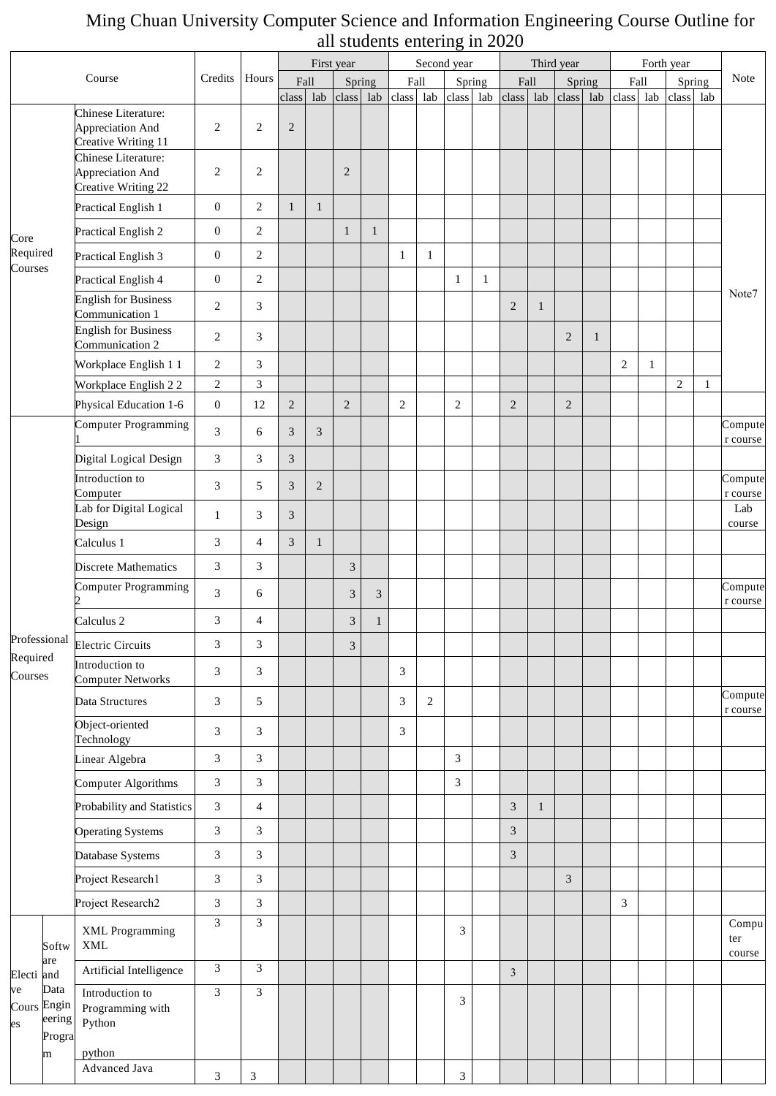## Ming Chuan University Computer Science and Information Engineering Course Outline for all students entering in 2020

|                              |                          |                                                                | First year                  |                         |                |              | Second year    |                |                |              | Third year     |              |                             |              |                |              |                |              |                |     |                        |
|------------------------------|--------------------------|----------------------------------------------------------------|-----------------------------|-------------------------|----------------|--------------|----------------|----------------|----------------|--------------|----------------|--------------|-----------------------------|--------------|----------------|--------------|----------------|--------------|----------------|-----|------------------------|
|                              |                          | Course                                                         | Credits                     | Hours                   | Fall           |              |                | Spring         |                | Fall         |                | Spring       | Fall                        |              | Spring         |              | Fall           |              | Spring         |     | Note                   |
|                              |                          |                                                                |                             |                         | class          | lab          | class          | lab            | class          | lab          | class          | lab          | class lab                   |              | class          | lab          | class          | lab          | class          | lab |                        |
|                              |                          | Chinese Literature:<br>Appreciation And<br>Creative Writing 11 | $\overline{c}$              | $\mathbf{2}$            | $\sqrt{2}$     |              |                |                |                |              |                |              |                             |              |                |              |                |              |                |     |                        |
|                              |                          | Chinese Literature:<br>Appreciation And<br>Creative Writing 22 | $\sqrt{2}$                  | $\boldsymbol{2}$        |                |              | $\mathbf{2}$   |                |                |              |                |              |                             |              |                |              |                |              |                |     |                        |
|                              |                          | Practical English 1                                            | $\boldsymbol{0}$            | $\sqrt{2}$              | $\mathbf{1}$   | $\mathbf{1}$ |                |                |                |              |                |              |                             |              |                |              |                |              |                |     |                        |
|                              |                          | Practical English 2                                            | $\boldsymbol{0}$            | $\overline{c}$          |                |              | $\mathbf{1}$   | $\mathbf{1}$   |                |              |                |              |                             |              |                |              |                |              |                |     |                        |
| Core<br>Required             |                          | Practical English 3                                            | $\boldsymbol{0}$            | $\overline{c}$          |                |              |                |                | $\mathbf{1}$   | $\mathbf{1}$ |                |              |                             |              |                |              |                |              |                |     |                        |
| Courses                      |                          | Practical English 4                                            | $\boldsymbol{0}$            | $\overline{c}$          |                |              |                |                |                |              | $\mathbf{1}$   | $\mathbf{1}$ |                             |              |                |              |                |              |                |     |                        |
|                              |                          | <b>English for Business</b><br>Communication 1                 | $\mathbf{2}$                | 3                       |                |              |                |                |                |              |                |              | $\overline{2}$              | $\mathbf{1}$ |                |              |                |              |                |     | Note7                  |
|                              |                          | <b>English for Business</b><br>Communication 2                 | $\mathbf{2}$                | 3                       |                |              |                |                |                |              |                |              |                             |              | $\overline{2}$ | $\mathbf{1}$ |                |              |                |     |                        |
|                              |                          | Workplace English 1 1                                          | $\overline{c}$              | 3                       |                |              |                |                |                |              |                |              |                             |              |                |              | $\overline{2}$ | $\mathbf{1}$ |                |     |                        |
|                              |                          | Workplace English 2 2                                          | $\sqrt{2}$                  | 3                       |                |              |                |                |                |              |                |              |                             |              |                |              |                |              | $\overline{2}$ | 1   |                        |
|                              |                          | Physical Education 1-6                                         | $\boldsymbol{0}$            | 12                      | $\overline{2}$ |              | 2              |                | $\mathbf{2}$   |              | $\mathbf{2}$   |              | 2                           |              | $\sqrt{2}$     |              |                |              |                |     |                        |
|                              |                          | Computer Programming                                           | 3                           | 6                       | 3              | 3            |                |                |                |              |                |              |                             |              |                |              |                |              |                |     | Compute<br>r course    |
|                              |                          | Digital Logical Design                                         | $\ensuremath{\mathfrak{Z}}$ | 3                       | 3              |              |                |                |                |              |                |              |                             |              |                |              |                |              |                |     |                        |
|                              |                          | Introduction to<br>Computer                                    | 3                           | 5                       | 3              | 2            |                |                |                |              |                |              |                             |              |                |              |                |              |                |     | Compute<br>r course    |
|                              |                          | Lab for Digital Logical<br>Design                              | $\mathbf{1}$                | 3                       | 3              |              |                |                |                |              |                |              |                             |              |                |              |                |              |                |     | Lab<br>course          |
|                              |                          | Calculus 1                                                     | $\ensuremath{\mathfrak{Z}}$ | 4                       | 3              | 1            |                |                |                |              |                |              |                             |              |                |              |                |              |                |     |                        |
|                              |                          | <b>Discrete Mathematics</b>                                    | $\ensuremath{\mathfrak{Z}}$ | 3                       |                |              | $\mathfrak{Z}$ |                |                |              |                |              |                             |              |                |              |                |              |                |     |                        |
|                              |                          | Computer Programming                                           | 3                           | 6                       |                |              | 3              | $\mathfrak{Z}$ |                |              |                |              |                             |              |                |              |                |              |                |     | Compute<br>r course    |
|                              |                          | Calculus 2                                                     | $\ensuremath{\mathfrak{Z}}$ | 4                       |                |              | 3              | 1              |                |              |                |              |                             |              |                |              |                |              |                |     |                        |
| Professional                 |                          | <b>Electric Circuits</b>                                       | 3                           | 3                       |                |              | $\mathfrak{Z}$ |                |                |              |                |              |                             |              |                |              |                |              |                |     |                        |
| Required<br>Courses          |                          | Introduction to<br><b>Computer Networks</b>                    | 3                           | 3                       |                |              |                |                | $\mathfrak{Z}$ |              |                |              |                             |              |                |              |                |              |                |     |                        |
|                              |                          | Data Structures                                                | 3                           | 5                       |                |              |                |                | $\mathfrak{Z}$ | 2            |                |              |                             |              |                |              |                |              |                |     | Compute<br>r course    |
|                              |                          | Object-oriented<br>Technology                                  | $\ensuremath{\mathfrak{Z}}$ | 3                       |                |              |                |                | $\mathfrak{Z}$ |              |                |              |                             |              |                |              |                |              |                |     |                        |
|                              |                          | Linear Algebra                                                 | $\ensuremath{\mathfrak{Z}}$ | 3                       |                |              |                |                |                |              | $\mathfrak{Z}$ |              |                             |              |                |              |                |              |                |     |                        |
|                              |                          | Computer Algorithms                                            | $\ensuremath{\mathfrak{Z}}$ | 3                       |                |              |                |                |                |              | $\mathfrak{Z}$ |              |                             |              |                |              |                |              |                |     |                        |
|                              |                          | Probability and Statistics                                     | $\ensuremath{\mathfrak{Z}}$ | $\overline{\mathbf{4}}$ |                |              |                |                |                |              |                |              | $\mathfrak{Z}$              | $\mathbf{1}$ |                |              |                |              |                |     |                        |
|                              |                          | <b>Operating Systems</b>                                       | $\ensuremath{\mathfrak{Z}}$ | 3                       |                |              |                |                |                |              |                |              | $\mathfrak{Z}$              |              |                |              |                |              |                |     |                        |
|                              |                          | Database Systems                                               | $\sqrt{3}$                  | 3                       |                |              |                |                |                |              |                |              | $\ensuremath{\mathfrak{Z}}$ |              |                |              |                |              |                |     |                        |
|                              |                          | Project Research1                                              | 3                           | 3                       |                |              |                |                |                |              |                |              |                             |              | 3              |              |                |              |                |     |                        |
|                              |                          | Project Research2                                              | $\ensuremath{\mathfrak{Z}}$ | 3                       |                |              |                |                |                |              |                |              |                             |              |                |              | 3              |              |                |     |                        |
|                              | Softw                    | <b>XML</b> Programming<br>$\mbox{XML}$                         | $\mathfrak{Z}$              | 3                       |                |              |                |                |                |              | 3              |              |                             |              |                |              |                |              |                |     | Compu<br>ter<br>course |
| Electi and                   | are                      | Artificial Intelligence                                        | 3                           | 3                       |                |              |                |                |                |              |                |              | $\mathfrak{Z}$              |              |                |              |                |              |                |     |                        |
| ve<br>Cours Engin<br>es<br>m | Data<br>eering<br>Progra | Introduction to<br>Programming with<br>Python                  | $\overline{3}$              | 3                       |                |              |                |                |                |              | 3              |              |                             |              |                |              |                |              |                |     |                        |
|                              |                          | python<br>Advanced Java                                        | $\mathfrak{Z}$              | $\mathfrak{Z}$          |                |              |                |                |                |              | 3              |              |                             |              |                |              |                |              |                |     |                        |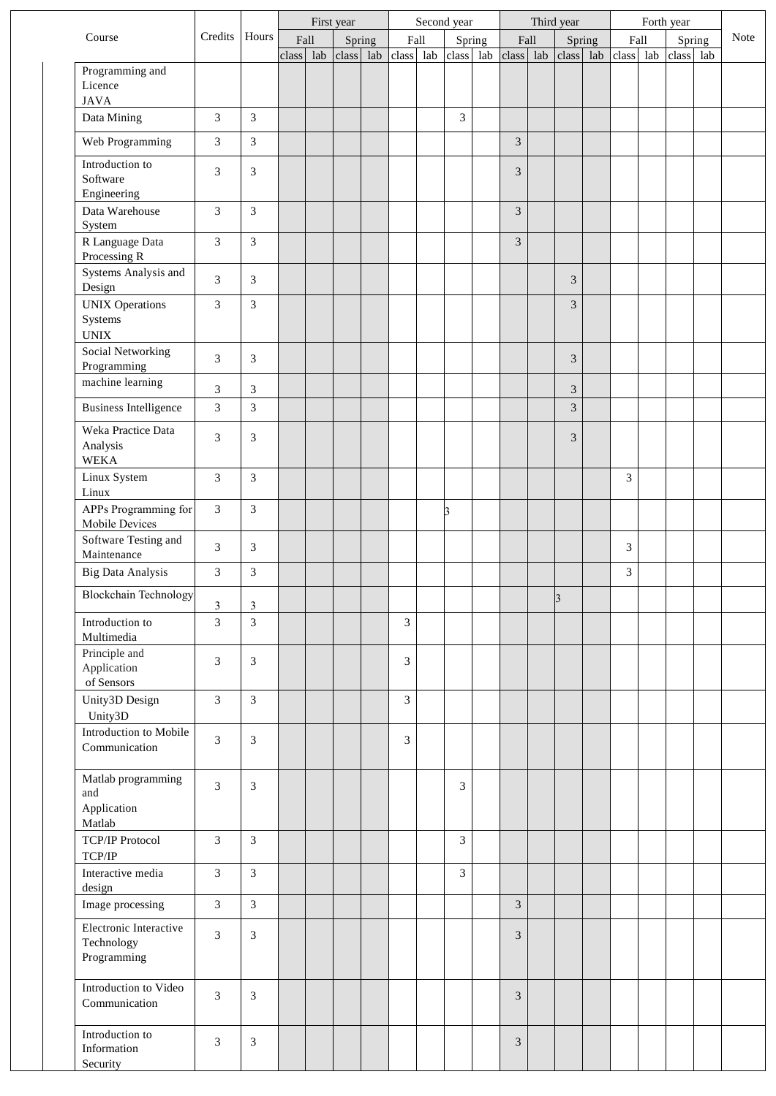|                                                     |                |                |       | First year |       |        |       | Second year |                |        |                | Third year |                         |        |                | Forth year |        |     |      |
|-----------------------------------------------------|----------------|----------------|-------|------------|-------|--------|-------|-------------|----------------|--------|----------------|------------|-------------------------|--------|----------------|------------|--------|-----|------|
| Course                                              | Credits        | Hours          |       | Fall       |       | Spring | Fall  |             |                | Spring | Fall           |            |                         | Spring |                | Fall       | Spring |     | Note |
|                                                     |                |                | class | lab        | class | lab    | class | lab         | class          | lab    | class          | lab        | $\operatorname{class}$  | lab    | class          | lab        | class  | lab |      |
| Programming and<br>Licence<br><b>JAVA</b>           |                |                |       |            |       |        |       |             |                |        |                |            |                         |        |                |            |        |     |      |
| Data Mining                                         | $\mathfrak{Z}$ | $\overline{3}$ |       |            |       |        |       |             | 3              |        |                |            |                         |        |                |            |        |     |      |
| Web Programming                                     | 3              | $\overline{3}$ |       |            |       |        |       |             |                |        | 3              |            |                         |        |                |            |        |     |      |
| Introduction to                                     |                |                |       |            |       |        |       |             |                |        |                |            |                         |        |                |            |        |     |      |
| Software<br>Engineering                             | 3              | 3              |       |            |       |        |       |             |                |        | 3              |            |                         |        |                |            |        |     |      |
| Data Warehouse<br>System                            | $\overline{3}$ | 3              |       |            |       |        |       |             |                |        | $\overline{3}$ |            |                         |        |                |            |        |     |      |
| R Language Data<br>Processing R                     | 3              | 3              |       |            |       |        |       |             |                |        | $\overline{3}$ |            |                         |        |                |            |        |     |      |
| Systems Analysis and<br>Design                      | 3              | 3              |       |            |       |        |       |             |                |        |                |            | 3                       |        |                |            |        |     |      |
| <b>UNIX Operations</b><br>Systems                   | 3              | 3              |       |            |       |        |       |             |                |        |                |            | 3                       |        |                |            |        |     |      |
| $\ensuremath{\text{UNIX}}$                          |                |                |       |            |       |        |       |             |                |        |                |            |                         |        |                |            |        |     |      |
| Social Networking<br>Programming                    | 3              | 3              |       |            |       |        |       |             |                |        |                |            | 3                       |        |                |            |        |     |      |
| machine learning                                    | 3              | $\mathfrak{Z}$ |       |            |       |        |       |             |                |        |                |            | 3                       |        |                |            |        |     |      |
| <b>Business Intelligence</b>                        | 3              | 3              |       |            |       |        |       |             |                |        |                |            | 3                       |        |                |            |        |     |      |
| Weka Practice Data<br>Analysis<br><b>WEKA</b>       | 3              | 3              |       |            |       |        |       |             |                |        |                |            | 3                       |        |                |            |        |     |      |
| Linux System<br>Linux                               | 3              | 3              |       |            |       |        |       |             |                |        |                |            |                         |        | 3              |            |        |     |      |
| APPs Programming for<br>Mobile Devices              | 3              | 3              |       |            |       |        |       |             | 3              |        |                |            |                         |        |                |            |        |     |      |
| Software Testing and<br>Maintenance                 | 3              | 3              |       |            |       |        |       |             |                |        |                |            |                         |        | 3              |            |        |     |      |
| Big Data Analysis                                   | 3              | $\mathfrak{Z}$ |       |            |       |        |       |             |                |        |                |            |                         |        | $\overline{3}$ |            |        |     |      |
| Blockchain Technology                               | 3              | $\mathfrak{Z}$ |       |            |       |        |       |             |                |        |                |            | $\overline{\mathbf{3}}$ |        |                |            |        |     |      |
| Introduction to<br>Multimedia                       | 3              | 3              |       |            |       |        | 3     |             |                |        |                |            |                         |        |                |            |        |     |      |
| Principle and<br>Application<br>of Sensors          | 3              | 3              |       |            |       |        | 3     |             |                |        |                |            |                         |        |                |            |        |     |      |
| Unity3D Design                                      | $\overline{3}$ | $\overline{3}$ |       |            |       |        | 3     |             |                |        |                |            |                         |        |                |            |        |     |      |
| Unity3D<br>Introduction to Mobile<br>Communication  | 3              | $\mathfrak{Z}$ |       |            |       |        | 3     |             |                |        |                |            |                         |        |                |            |        |     |      |
| Matlab programming<br>and<br>Application<br>Matlab  | 3              | 3              |       |            |       |        |       |             | 3              |        |                |            |                         |        |                |            |        |     |      |
| <b>TCP/IP Protocol</b><br>TCP/IP                    | 3              | 3              |       |            |       |        |       |             | 3              |        |                |            |                         |        |                |            |        |     |      |
| Interactive media<br>design                         | 3              | 3              |       |            |       |        |       |             | $\mathfrak{Z}$ |        |                |            |                         |        |                |            |        |     |      |
| Image processing                                    | $\overline{3}$ | 3              |       |            |       |        |       |             |                |        | 3              |            |                         |        |                |            |        |     |      |
| Electronic Interactive<br>Technology<br>Programming | 3              | 3              |       |            |       |        |       |             |                |        | 3              |            |                         |        |                |            |        |     |      |
| Introduction to Video<br>Communication              | 3              | 3              |       |            |       |        |       |             |                |        | 3              |            |                         |        |                |            |        |     |      |
| Introduction to<br>Information<br>Security          | 3              | 3              |       |            |       |        |       |             |                |        | 3              |            |                         |        |                |            |        |     |      |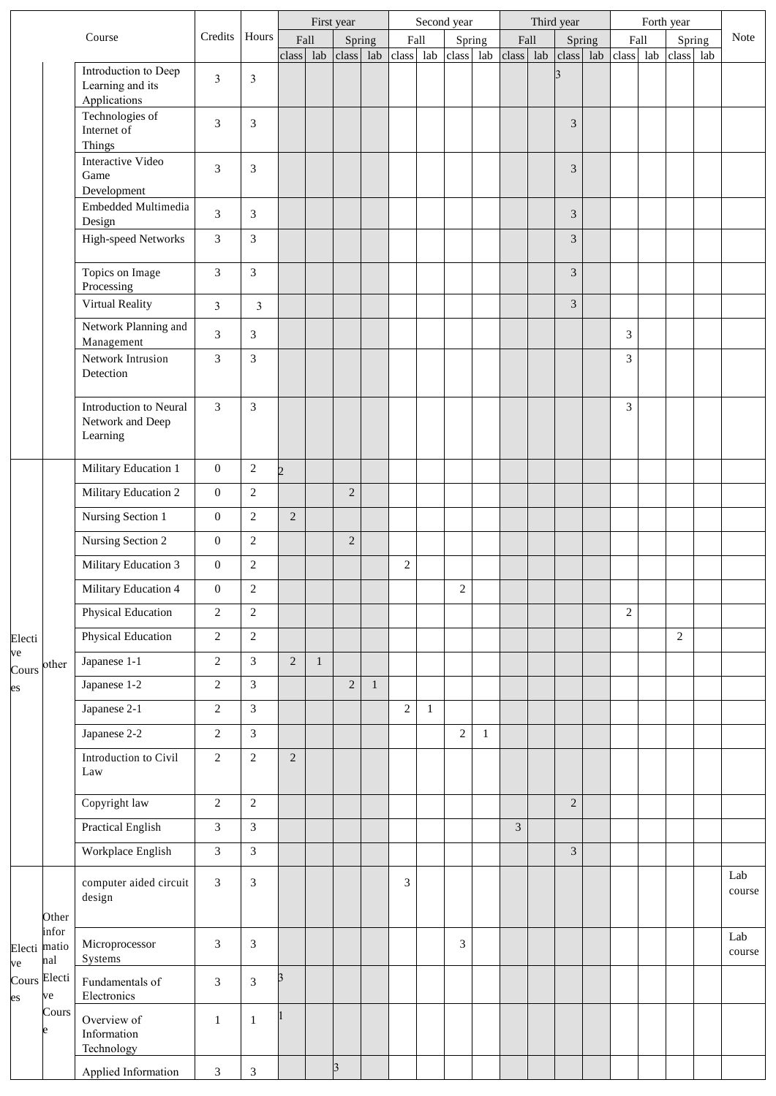|                    |              |                                                          |                                  |                             |                       |              | First year |              |                             |     | Second year      |              | Third year     |      |                             |        |                |     |                |  |               |
|--------------------|--------------|----------------------------------------------------------|----------------------------------|-----------------------------|-----------------------|--------------|------------|--------------|-----------------------------|-----|------------------|--------------|----------------|------|-----------------------------|--------|----------------|-----|----------------|--|---------------|
|                    |              | Course                                                   | Credits                          | Hours                       |                       | Fall         |            | Spring       | Fall                        |     |                  | Spring       |                | Fall |                             | Spring | Fall           |     | Spring         |  | Note          |
|                    |              | Introduction to Deep<br>Learning and its<br>Applications | $\mathfrak{Z}$                   | $\mathfrak{Z}$              | class                 | lab          | class      | lab          | class                       | lab | class lab        |              | class          | lab  | class lab<br>$\overline{3}$ |        | class          | lab | class lab      |  |               |
|                    |              | Technologies of<br>Internet of<br>Things                 | $\mathfrak{Z}$                   | $\boldsymbol{\mathfrak{Z}}$ |                       |              |            |              |                             |     |                  |              |                |      | 3                           |        |                |     |                |  |               |
|                    |              | Interactive Video<br>Game<br>Development                 | 3                                | 3                           |                       |              |            |              |                             |     |                  |              |                |      | 3                           |        |                |     |                |  |               |
|                    |              | Embedded Multimedia<br>Design<br>High-speed Networks     | $\overline{3}$<br>$\mathfrak{Z}$ | 3<br>$\overline{3}$         |                       |              |            |              |                             |     |                  |              |                |      | $\mathfrak{Z}$<br>3         |        |                |     |                |  |               |
|                    |              | Topics on Image                                          | $\overline{3}$                   | $\overline{3}$              |                       |              |            |              |                             |     |                  |              |                |      | $\overline{3}$              |        |                |     |                |  |               |
|                    |              | Processing                                               |                                  |                             |                       |              |            |              |                             |     |                  |              |                |      |                             |        |                |     |                |  |               |
|                    |              | Virtual Reality                                          | $\mathfrak{Z}$                   | $\mathfrak{Z}$              |                       |              |            |              |                             |     |                  |              |                |      | $\overline{3}$              |        |                |     |                |  |               |
|                    |              | Network Planning and<br>Management                       | 3                                | 3                           |                       |              |            |              |                             |     |                  |              |                |      |                             |        | 3              |     |                |  |               |
|                    |              | Network Intrusion<br>Detection                           | $\mathfrak{Z}$                   | $\mathfrak{Z}$              |                       |              |            |              |                             |     |                  |              |                |      |                             |        | 3              |     |                |  |               |
|                    |              | Introduction to Neural<br>Network and Deep<br>Learning   | 3                                | $\mathfrak{Z}$              |                       |              |            |              |                             |     |                  |              |                |      |                             |        | 3              |     |                |  |               |
|                    |              | Military Education 1                                     | $\boldsymbol{0}$                 | $\mathbf{2}$                | $\mathcal{D}_{\cdot}$ |              |            |              |                             |     |                  |              |                |      |                             |        |                |     |                |  |               |
|                    |              | Military Education 2                                     | $\overline{0}$                   | $\overline{2}$              |                       |              | $\sqrt{2}$ |              |                             |     |                  |              |                |      |                             |        |                |     |                |  |               |
|                    |              | Nursing Section 1                                        | $\boldsymbol{0}$                 | $\overline{2}$              | $\overline{c}$        |              |            |              |                             |     |                  |              |                |      |                             |        |                |     |                |  |               |
|                    |              | Nursing Section 2                                        | $\boldsymbol{0}$                 | $\overline{2}$              |                       |              | $\sqrt{2}$ |              |                             |     |                  |              |                |      |                             |        |                |     |                |  |               |
|                    |              | Military Education 3                                     | $\boldsymbol{0}$                 | $\mathbf{2}$                |                       |              |            |              | $\mathbf{2}$                |     |                  |              |                |      |                             |        |                |     |                |  |               |
|                    |              | Military Education 4                                     | $\boldsymbol{0}$                 | $\sqrt{2}$                  |                       |              |            |              |                             |     | $\boldsymbol{2}$ |              |                |      |                             |        |                |     |                |  |               |
|                    |              | Physical Education                                       | $\sqrt{2}$                       | $\overline{2}$              |                       |              |            |              |                             |     |                  |              |                |      |                             |        | $\overline{c}$ |     |                |  |               |
| Electi             |              | <b>Physical Education</b>                                | $\sqrt{2}$                       | $\sqrt{2}$                  |                       |              |            |              |                             |     |                  |              |                |      |                             |        |                |     | $\overline{2}$ |  |               |
| ve<br>Cours other  |              | Japanese 1-1                                             | $\sqrt{2}$                       | $\overline{3}$              | $\overline{c}$        | $\mathbf{1}$ |            |              |                             |     |                  |              |                |      |                             |        |                |     |                |  |               |
| es                 |              | Japanese 1-2                                             | $\sqrt{2}$                       | $\overline{3}$              |                       |              | $\sqrt{2}$ | $\mathbf{1}$ |                             |     |                  |              |                |      |                             |        |                |     |                |  |               |
|                    |              | Japanese 2-1                                             | $\sqrt{2}$                       | $\overline{3}$              |                       |              |            |              | $\overline{c}$              | 1   |                  |              |                |      |                             |        |                |     |                |  |               |
|                    |              | Japanese 2-2                                             | $\sqrt{2}$                       | $\overline{3}$              |                       |              |            |              |                             |     | $\overline{2}$   | $\mathbf{1}$ |                |      |                             |        |                |     |                |  |               |
|                    |              | Introduction to Civil<br>Law                             | $\sqrt{2}$                       | $\sqrt{2}$                  | $\overline{2}$        |              |            |              |                             |     |                  |              |                |      |                             |        |                |     |                |  |               |
|                    |              | Copyright law                                            | $\sqrt{2}$                       | $\sqrt{2}$                  |                       |              |            |              |                             |     |                  |              |                |      | $\overline{2}$              |        |                |     |                |  |               |
|                    |              | Practical English                                        | 3                                | $\overline{3}$              |                       |              |            |              |                             |     |                  |              | $\overline{3}$ |      |                             |        |                |     |                |  |               |
|                    |              | Workplace English                                        | $\mathfrak{Z}$                   | $\mathfrak{Z}$              |                       |              |            |              |                             |     |                  |              |                |      | $\mathfrak{Z}$              |        |                |     |                |  |               |
|                    | Other        | computer aided circuit<br>design                         | $\mathfrak{Z}$                   | $\mathfrak{Z}$              |                       |              |            |              | $\ensuremath{\mathfrak{Z}}$ |     |                  |              |                |      |                             |        |                |     |                |  | Lab<br>course |
| Electi matio<br>ve | infor<br>nal | Microprocessor<br>Systems                                | $\mathfrak{Z}$                   | $\mathfrak{Z}$              |                       |              |            |              |                             |     | 3                |              |                |      |                             |        |                |     |                |  | Lab<br>course |
| Cours Electi<br>es | ve           | Fundamentals of<br>Electronics                           | $\mathfrak{Z}$                   | $\mathfrak{Z}$              | 3                     |              |            |              |                             |     |                  |              |                |      |                             |        |                |     |                |  |               |
|                    | Cours<br>e   | Overview of<br>Information<br>Technology                 | $\mathbf{1}$                     | $1\,$                       |                       |              |            |              |                             |     |                  |              |                |      |                             |        |                |     |                |  |               |
|                    |              | Applied Information                                      | $\mathfrak{Z}$                   | $\ensuremath{\mathfrak{Z}}$ |                       |              | 3          |              |                             |     |                  |              |                |      |                             |        |                |     |                |  |               |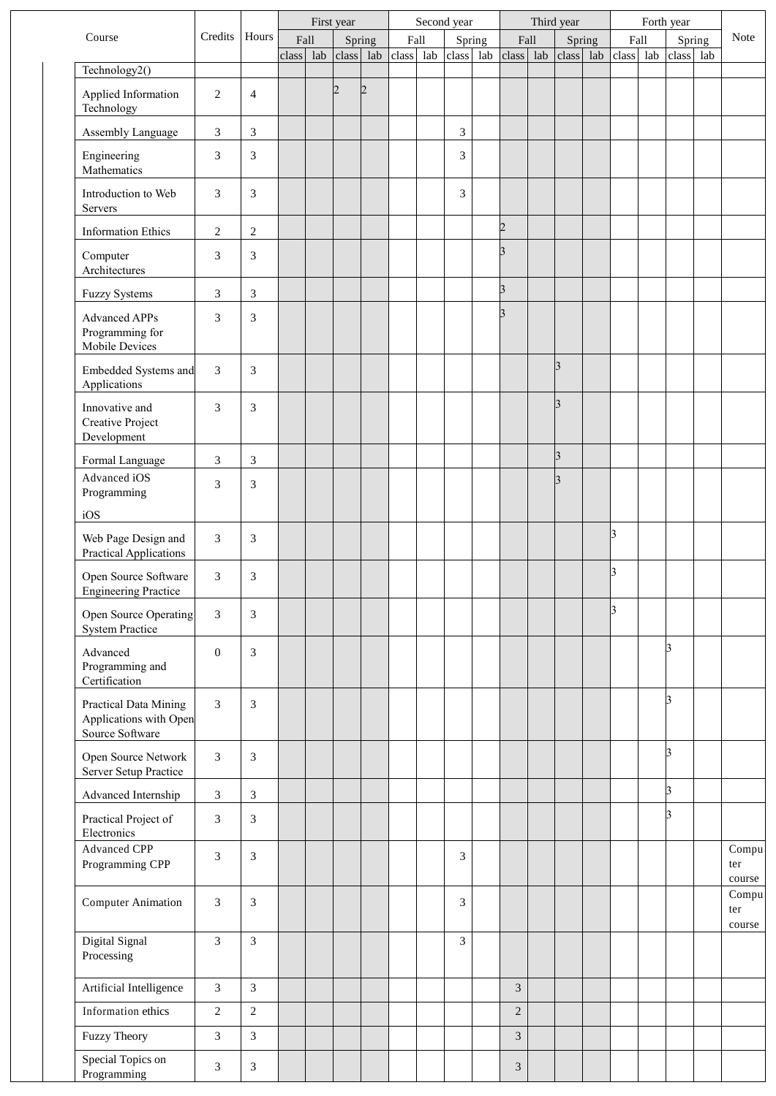|                                                                    |                             |                | First year |      |                |                |           | Second year |     | Third year     |     |                |     | Forth year |      |                         |        |                        |
|--------------------------------------------------------------------|-----------------------------|----------------|------------|------|----------------|----------------|-----------|-------------|-----|----------------|-----|----------------|-----|------------|------|-------------------------|--------|------------------------|
| Course                                                             | Credits                     | Hours          |            | Fall |                | Spring         | Fall      | Spring      |     | Fall           |     | Spring         |     |            | Fall |                         | Spring | Note                   |
|                                                                    |                             |                | class      | lab  | class lab      |                | class lab | class       | lab | class          | lab | class          | lab | class      | lab  | class                   | lab    |                        |
| Technology2()                                                      |                             |                |            |      |                |                |           |             |     |                |     |                |     |            |      |                         |        |                        |
| Applied Information<br>Technology                                  | $\overline{2}$              | $\overline{4}$ |            |      | $\overline{2}$ | $\overline{c}$ |           |             |     |                |     |                |     |            |      |                         |        |                        |
| Assembly Language                                                  | $\mathfrak{Z}$              | 3              |            |      |                |                |           | 3           |     |                |     |                |     |            |      |                         |        |                        |
| Engineering<br>Mathematics                                         | 3                           | $\mathfrak{Z}$ |            |      |                |                |           | 3           |     |                |     |                |     |            |      |                         |        |                        |
| Introduction to Web<br>Servers                                     | 3                           | 3              |            |      |                |                |           | 3           |     |                |     |                |     |            |      |                         |        |                        |
| <b>Information Ethics</b>                                          | $\boldsymbol{2}$            | $\sqrt{2}$     |            |      |                |                |           |             |     | $\overline{c}$ |     |                |     |            |      |                         |        |                        |
| Computer<br>Architectures                                          | 3                           | 3              |            |      |                |                |           |             |     | 3              |     |                |     |            |      |                         |        |                        |
| <b>Fuzzy Systems</b>                                               | $\mathfrak{Z}$              | $\mathfrak{Z}$ |            |      |                |                |           |             |     | 3              |     |                |     |            |      |                         |        |                        |
| <b>Advanced APPs</b><br>Programming for<br>Mobile Devices          | 3                           | 3              |            |      |                |                |           |             |     | 3              |     |                |     |            |      |                         |        |                        |
| Embedded Systems and<br>Applications                               | $\ensuremath{\mathfrak{Z}}$ | 3              |            |      |                |                |           |             |     |                |     | 3              |     |            |      |                         |        |                        |
| Innovative and<br>Creative Project<br>Development                  | 3                           | $\mathfrak{Z}$ |            |      |                |                |           |             |     |                |     | 3              |     |            |      |                         |        |                        |
| Formal Language                                                    | 3                           | 3              |            |      |                |                |           |             |     |                |     | $\overline{3}$ |     |            |      |                         |        |                        |
| Advanced iOS<br>Programming                                        | 3                           | 3              |            |      |                |                |           |             |     |                |     | 3              |     |            |      |                         |        |                        |
| iOS                                                                |                             |                |            |      |                |                |           |             |     |                |     |                |     |            |      |                         |        |                        |
| Web Page Design and<br>Practical Applications                      | 3                           | $\mathfrak{Z}$ |            |      |                |                |           |             |     |                |     |                |     | 3          |      |                         |        |                        |
| Open Source Software<br><b>Engineering Practice</b>                | $\mathfrak{Z}$              | 3              |            |      |                |                |           |             |     |                |     |                |     | 3          |      |                         |        |                        |
| Open Source Operating<br><b>System Practice</b>                    | 3                           | 3              |            |      |                |                |           |             |     |                |     |                |     | 3          |      |                         |        |                        |
| Advanced<br>Programming and<br>Certification                       | $\boldsymbol{0}$            | 3              |            |      |                |                |           |             |     |                |     |                |     |            |      | 3                       |        |                        |
| Practical Data Mining<br>Applications with Open<br>Source Software | 3                           | 3              |            |      |                |                |           |             |     |                |     |                |     |            |      | 3                       |        |                        |
| Open Source Network<br><b>Server Setup Practice</b>                | 3                           | 3              |            |      |                |                |           |             |     |                |     |                |     |            |      | 3                       |        |                        |
| Advanced Internship                                                | 3                           | $\overline{3}$ |            |      |                |                |           |             |     |                |     |                |     |            |      | 3                       |        |                        |
| Practical Project of<br>Electronics                                | 3                           | 3              |            |      |                |                |           |             |     |                |     |                |     |            |      | $\overline{\mathbf{3}}$ |        |                        |
| <b>Advanced CPP</b><br>Programming CPP                             | 3                           | 3              |            |      |                |                |           | 3           |     |                |     |                |     |            |      |                         |        | Compu<br>ter<br>course |
| Computer Animation                                                 | 3                           | 3              |            |      |                |                |           | 3           |     |                |     |                |     |            |      |                         |        | Compu<br>ter<br>course |
| Digital Signal<br>Processing                                       | 3                           | 3              |            |      |                |                |           | 3           |     |                |     |                |     |            |      |                         |        |                        |
| Artificial Intelligence                                            | 3                           | $\overline{3}$ |            |      |                |                |           |             |     | 3              |     |                |     |            |      |                         |        |                        |
| Information ethics                                                 | $\overline{c}$              | $\overline{2}$ |            |      |                |                |           |             |     | $\sqrt{2}$     |     |                |     |            |      |                         |        |                        |
| <b>Fuzzy Theory</b>                                                | $\overline{3}$              | $\overline{3}$ |            |      |                |                |           |             |     | 3              |     |                |     |            |      |                         |        |                        |
| Special Topics on                                                  | $\mathfrak{Z}$              | $\mathfrak{Z}$ |            |      |                |                |           |             |     | $\mathfrak{Z}$ |     |                |     |            |      |                         |        |                        |
| Programming                                                        |                             |                |            |      |                |                |           |             |     |                |     |                |     |            |      |                         |        |                        |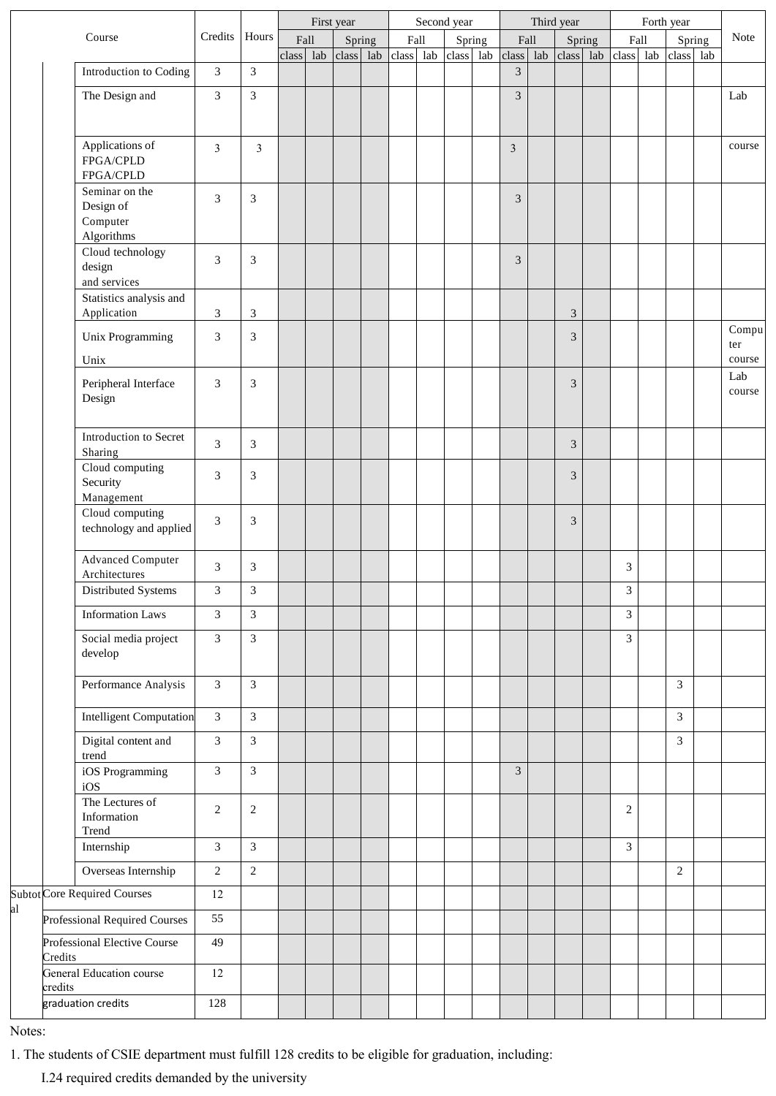|    |                    |                                                       |                |                |       |      | First year |           |       |     | Second year |        |                             |     | Third year     |     |                |      |                |  |                        |
|----|--------------------|-------------------------------------------------------|----------------|----------------|-------|------|------------|-----------|-------|-----|-------------|--------|-----------------------------|-----|----------------|-----|----------------|------|----------------|--|------------------------|
|    |                    | Course                                                | Credits        | Hours          |       | Fall |            | Spring    | Fall  |     |             | Spring | Fall                        |     | Spring         |     |                | Fall | Spring         |  | Note                   |
|    |                    | Introduction to Coding                                | $\overline{3}$ | $\overline{3}$ | class | lab  |            | class lab | class | lab | class       | lab    | class<br>$\overline{3}$     | lab | class          | lab | class          | lab  | class lab      |  |                        |
|    |                    |                                                       |                |                |       |      |            |           |       |     |             |        |                             |     |                |     |                |      |                |  |                        |
|    |                    | The Design and                                        | 3              | $\mathfrak{Z}$ |       |      |            |           |       |     |             |        | 3                           |     |                |     |                |      |                |  | Lab                    |
|    |                    | Applications of<br>FPGA/CPLD<br>FPGA/CPLD             | $\mathfrak{Z}$ | $\overline{3}$ |       |      |            |           |       |     |             |        | $\overline{3}$              |     |                |     |                |      |                |  | course                 |
|    |                    | Seminar on the<br>Design of<br>Computer<br>Algorithms | 3              | 3              |       |      |            |           |       |     |             |        | 3                           |     |                |     |                |      |                |  |                        |
|    |                    | Cloud technology<br>design<br>and services            | 3              | $\mathfrak{Z}$ |       |      |            |           |       |     |             |        | $\ensuremath{\mathfrak{Z}}$ |     |                |     |                |      |                |  |                        |
|    |                    | Statistics analysis and<br>Application                | $\mathfrak{Z}$ | $\mathfrak{Z}$ |       |      |            |           |       |     |             |        |                             |     | 3              |     |                |      |                |  |                        |
|    |                    | Unix Programming<br>Unix                              | $\mathfrak{Z}$ | $\mathfrak{Z}$ |       |      |            |           |       |     |             |        |                             |     | 3              |     |                |      |                |  | Compu<br>ter<br>course |
|    |                    | Peripheral Interface<br>Design                        | 3              | $\mathfrak{Z}$ |       |      |            |           |       |     |             |        |                             |     | 3              |     |                |      |                |  | Lab<br>course          |
|    |                    | Introduction to Secret<br>Sharing                     | $\overline{3}$ | $\mathfrak{Z}$ |       |      |            |           |       |     |             |        |                             |     | 3              |     |                |      |                |  |                        |
|    |                    | Cloud computing<br>Security<br>Management             | 3              | 3              |       |      |            |           |       |     |             |        |                             |     | 3              |     |                |      |                |  |                        |
|    |                    | Cloud computing<br>technology and applied             | 3              | 3              |       |      |            |           |       |     |             |        |                             |     | $\mathfrak{Z}$ |     |                |      |                |  |                        |
|    |                    | <b>Advanced Computer</b><br>Architectures             | 3              | $\mathfrak{Z}$ |       |      |            |           |       |     |             |        |                             |     |                |     | 3              |      |                |  |                        |
|    |                    | Distributed Systems                                   | 3              | 3              |       |      |            |           |       |     |             |        |                             |     |                |     | 3              |      |                |  |                        |
|    |                    | <b>Information Laws</b>                               | 3              | 3              |       |      |            |           |       |     |             |        |                             |     |                |     | 3              |      |                |  |                        |
|    |                    | Social media project<br>develop                       | $\overline{3}$ | $\overline{3}$ |       |      |            |           |       |     |             |        |                             |     |                |     | $\overline{3}$ |      |                |  |                        |
|    |                    | Performance Analysis                                  | $\mathfrak{Z}$ | $\overline{3}$ |       |      |            |           |       |     |             |        |                             |     |                |     |                |      | $\mathfrak{Z}$ |  |                        |
|    |                    | <b>Intelligent Computation</b>                        | $\mathfrak{Z}$ | $\overline{3}$ |       |      |            |           |       |     |             |        |                             |     |                |     |                |      | $\mathfrak{Z}$ |  |                        |
|    |                    | Digital content and<br>trend                          | $\overline{3}$ | $\overline{3}$ |       |      |            |           |       |     |             |        |                             |     |                |     |                |      | $\overline{3}$ |  |                        |
|    |                    | iOS Programming<br>iOS                                | 3              | $\overline{3}$ |       |      |            |           |       |     |             |        | 3                           |     |                |     |                |      |                |  |                        |
|    |                    | The Lectures of<br>Information<br>Trend               | $\overline{2}$ | $\overline{2}$ |       |      |            |           |       |     |             |        |                             |     |                |     | 2              |      |                |  |                        |
|    |                    | Internship                                            | $\overline{3}$ | $\overline{3}$ |       |      |            |           |       |     |             |        |                             |     |                |     | $\mathfrak{Z}$ |      |                |  |                        |
|    |                    | Overseas Internship                                   | $\overline{2}$ | $\overline{2}$ |       |      |            |           |       |     |             |        |                             |     |                |     |                |      | $\overline{2}$ |  |                        |
|    |                    | <b>Subtot Core Required Courses</b>                   | 12             |                |       |      |            |           |       |     |             |        |                             |     |                |     |                |      |                |  |                        |
| al |                    | Professional Required Courses                         | 55             |                |       |      |            |           |       |     |             |        |                             |     |                |     |                |      |                |  |                        |
|    | Credits            | Professional Elective Course                          | 49             |                |       |      |            |           |       |     |             |        |                             |     |                |     |                |      |                |  |                        |
|    | credits            | General Education course                              | 12             |                |       |      |            |           |       |     |             |        |                             |     |                |     |                |      |                |  |                        |
|    | graduation credits |                                                       | 128            |                |       |      |            |           |       |     |             |        |                             |     |                |     |                |      |                |  |                        |

Notes:

1. The students of CSIE department must fulfill 128 credits to be eligible for graduation, including:

I.24 required credits demanded by the university